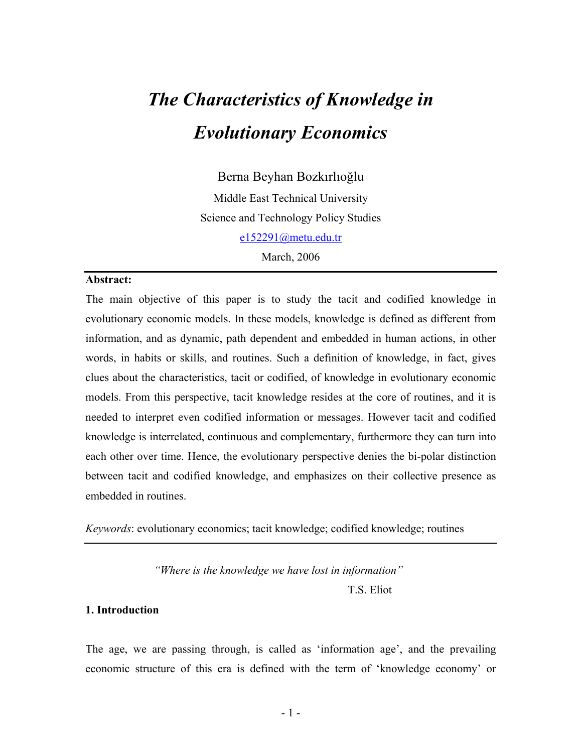# *The Characteristics of Knowledge in Evolutionary Economics*

Berna Beyhan Bozkırlıoğlu Middle East Technical University Science and Technology Policy Studies e152291@metu.edu.tr March, 2006

## **Abstract:**

The main objective of this paper is to study the tacit and codified knowledge in evolutionary economic models. In these models, knowledge is defined as different from information, and as dynamic, path dependent and embedded in human actions, in other words, in habits or skills, and routines. Such a definition of knowledge, in fact, gives clues about the characteristics, tacit or codified, of knowledge in evolutionary economic models. From this perspective, tacit knowledge resides at the core of routines, and it is needed to interpret even codified information or messages. However tacit and codified knowledge is interrelated, continuous and complementary, furthermore they can turn into each other over time. Hence, the evolutionary perspective denies the bi-polar distinction between tacit and codified knowledge, and emphasizes on their collective presence as embedded in routines.

*Keywords*: evolutionary economics; tacit knowledge; codified knowledge; routines

*"Where is the knowledge we have lost in information"* 

T.S. Eliot

#### **1. Introduction**

The age, we are passing through, is called as 'information age', and the prevailing economic structure of this era is defined with the term of 'knowledge economy' or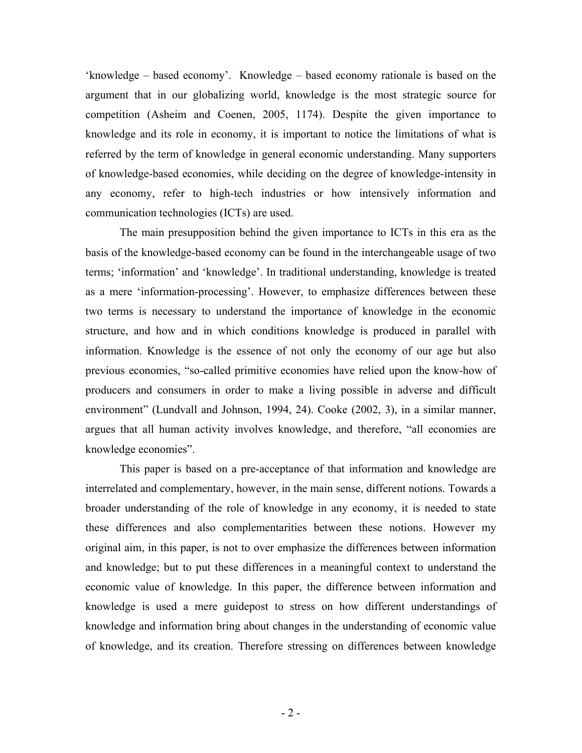'knowledge – based economy'. Knowledge – based economy rationale is based on the argument that in our globalizing world, knowledge is the most strategic source for competition (Asheim and Coenen, 2005, 1174). Despite the given importance to knowledge and its role in economy, it is important to notice the limitations of what is referred by the term of knowledge in general economic understanding. Many supporters of knowledge-based economies, while deciding on the degree of knowledge-intensity in any economy, refer to high-tech industries or how intensively information and communication technologies (ICTs) are used.

The main presupposition behind the given importance to ICTs in this era as the basis of the knowledge-based economy can be found in the interchangeable usage of two terms; 'information' and 'knowledge'. In traditional understanding, knowledge is treated as a mere 'information-processing'. However, to emphasize differences between these two terms is necessary to understand the importance of knowledge in the economic structure, and how and in which conditions knowledge is produced in parallel with information. Knowledge is the essence of not only the economy of our age but also previous economies, "so-called primitive economies have relied upon the know-how of producers and consumers in order to make a living possible in adverse and difficult environment" (Lundvall and Johnson, 1994, 24). Cooke (2002, 3), in a similar manner, argues that all human activity involves knowledge, and therefore, "all economies are knowledge economies".

This paper is based on a pre-acceptance of that information and knowledge are interrelated and complementary, however, in the main sense, different notions. Towards a broader understanding of the role of knowledge in any economy, it is needed to state these differences and also complementarities between these notions. However my original aim, in this paper, is not to over emphasize the differences between information and knowledge; but to put these differences in a meaningful context to understand the economic value of knowledge. In this paper, the difference between information and knowledge is used a mere guidepost to stress on how different understandings of knowledge and information bring about changes in the understanding of economic value of knowledge, and its creation. Therefore stressing on differences between knowledge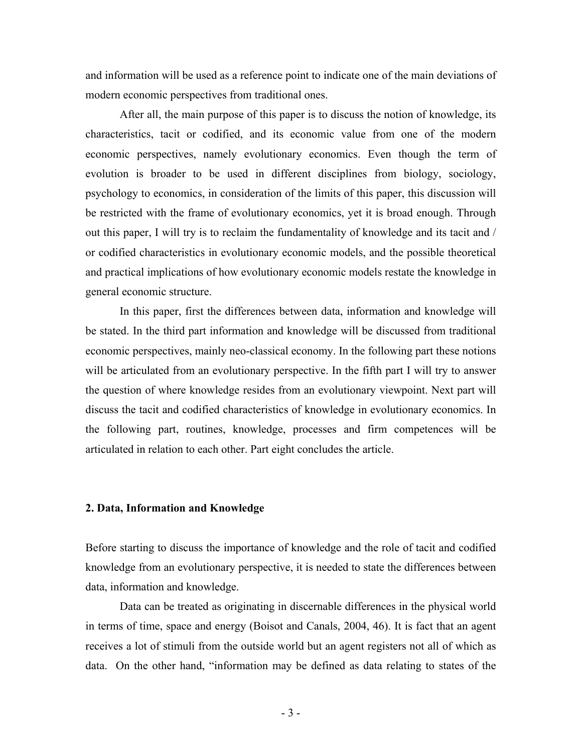and information will be used as a reference point to indicate one of the main deviations of modern economic perspectives from traditional ones.

After all, the main purpose of this paper is to discuss the notion of knowledge, its characteristics, tacit or codified, and its economic value from one of the modern economic perspectives, namely evolutionary economics. Even though the term of evolution is broader to be used in different disciplines from biology, sociology, psychology to economics, in consideration of the limits of this paper, this discussion will be restricted with the frame of evolutionary economics, yet it is broad enough. Through out this paper, I will try is to reclaim the fundamentality of knowledge and its tacit and / or codified characteristics in evolutionary economic models, and the possible theoretical and practical implications of how evolutionary economic models restate the knowledge in general economic structure.

In this paper, first the differences between data, information and knowledge will be stated. In the third part information and knowledge will be discussed from traditional economic perspectives, mainly neo-classical economy. In the following part these notions will be articulated from an evolutionary perspective. In the fifth part I will try to answer the question of where knowledge resides from an evolutionary viewpoint. Next part will discuss the tacit and codified characteristics of knowledge in evolutionary economics. In the following part, routines, knowledge, processes and firm competences will be articulated in relation to each other. Part eight concludes the article.

# **2. Data, Information and Knowledge**

Before starting to discuss the importance of knowledge and the role of tacit and codified knowledge from an evolutionary perspective, it is needed to state the differences between data, information and knowledge.

Data can be treated as originating in discernable differences in the physical world in terms of time, space and energy (Boisot and Canals, 2004, 46). It is fact that an agent receives a lot of stimuli from the outside world but an agent registers not all of which as data. On the other hand, "information may be defined as data relating to states of the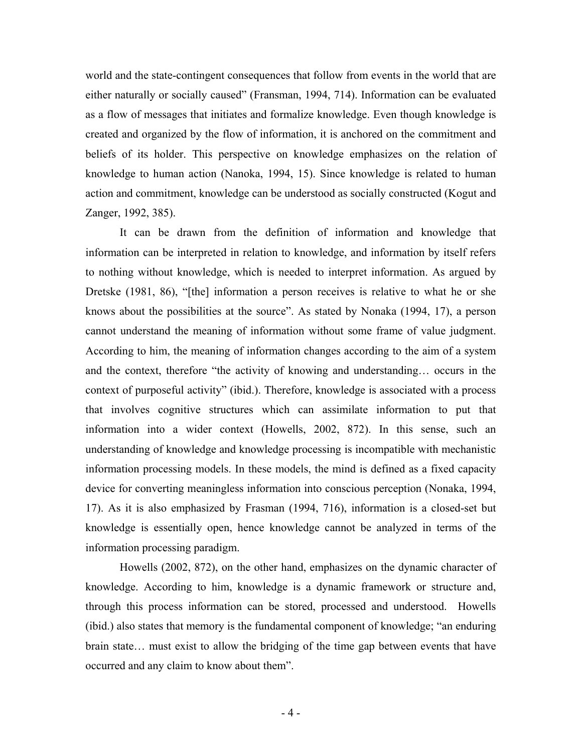world and the state-contingent consequences that follow from events in the world that are either naturally or socially caused" (Fransman, 1994, 714). Information can be evaluated as a flow of messages that initiates and formalize knowledge. Even though knowledge is created and organized by the flow of information, it is anchored on the commitment and beliefs of its holder. This perspective on knowledge emphasizes on the relation of knowledge to human action (Nanoka, 1994, 15). Since knowledge is related to human action and commitment, knowledge can be understood as socially constructed (Kogut and Zanger, 1992, 385).

It can be drawn from the definition of information and knowledge that information can be interpreted in relation to knowledge, and information by itself refers to nothing without knowledge, which is needed to interpret information. As argued by Dretske (1981, 86), "[the] information a person receives is relative to what he or she knows about the possibilities at the source". As stated by Nonaka (1994, 17), a person cannot understand the meaning of information without some frame of value judgment. According to him, the meaning of information changes according to the aim of a system and the context, therefore "the activity of knowing and understanding… occurs in the context of purposeful activity" (ibid.). Therefore, knowledge is associated with a process that involves cognitive structures which can assimilate information to put that information into a wider context (Howells, 2002, 872). In this sense, such an understanding of knowledge and knowledge processing is incompatible with mechanistic information processing models. In these models, the mind is defined as a fixed capacity device for converting meaningless information into conscious perception (Nonaka, 1994, 17). As it is also emphasized by Frasman (1994, 716), information is a closed-set but knowledge is essentially open, hence knowledge cannot be analyzed in terms of the information processing paradigm.

Howells (2002, 872), on the other hand, emphasizes on the dynamic character of knowledge. According to him, knowledge is a dynamic framework or structure and, through this process information can be stored, processed and understood. Howells (ibid.) also states that memory is the fundamental component of knowledge; "an enduring brain state… must exist to allow the bridging of the time gap between events that have occurred and any claim to know about them".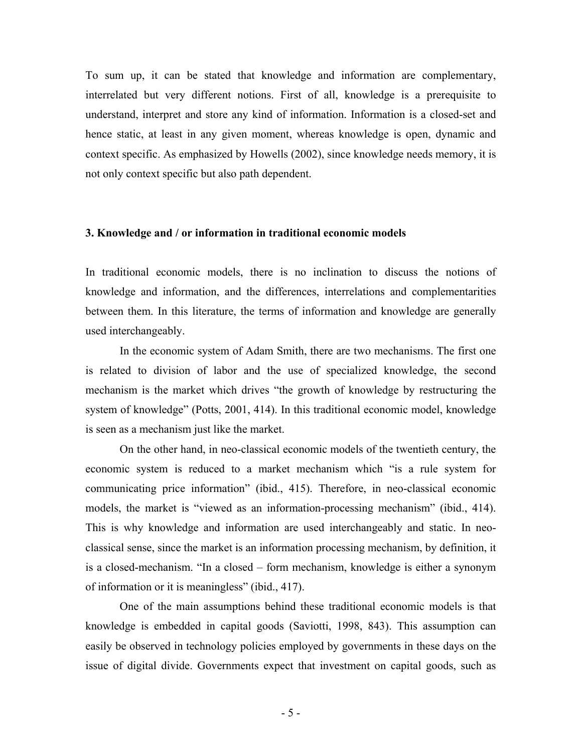To sum up, it can be stated that knowledge and information are complementary, interrelated but very different notions. First of all, knowledge is a prerequisite to understand, interpret and store any kind of information. Information is a closed-set and hence static, at least in any given moment, whereas knowledge is open, dynamic and context specific. As emphasized by Howells (2002), since knowledge needs memory, it is not only context specific but also path dependent.

### **3. Knowledge and / or information in traditional economic models**

In traditional economic models, there is no inclination to discuss the notions of knowledge and information, and the differences, interrelations and complementarities between them. In this literature, the terms of information and knowledge are generally used interchangeably.

In the economic system of Adam Smith, there are two mechanisms. The first one is related to division of labor and the use of specialized knowledge, the second mechanism is the market which drives "the growth of knowledge by restructuring the system of knowledge" (Potts, 2001, 414). In this traditional economic model, knowledge is seen as a mechanism just like the market.

On the other hand, in neo-classical economic models of the twentieth century, the economic system is reduced to a market mechanism which "is a rule system for communicating price information" (ibid., 415). Therefore, in neo-classical economic models, the market is "viewed as an information-processing mechanism" (ibid., 414). This is why knowledge and information are used interchangeably and static. In neoclassical sense, since the market is an information processing mechanism, by definition, it is a closed-mechanism. "In a closed – form mechanism, knowledge is either a synonym of information or it is meaningless" (ibid., 417).

One of the main assumptions behind these traditional economic models is that knowledge is embedded in capital goods (Saviotti, 1998, 843). This assumption can easily be observed in technology policies employed by governments in these days on the issue of digital divide. Governments expect that investment on capital goods, such as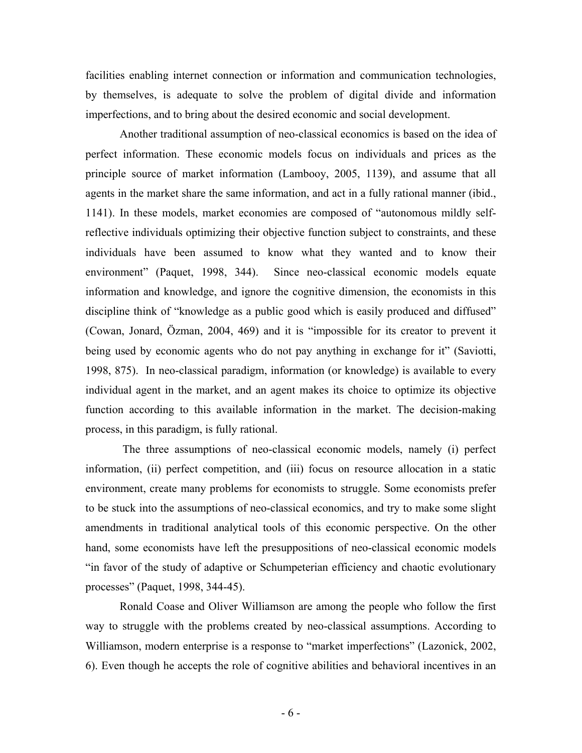facilities enabling internet connection or information and communication technologies, by themselves, is adequate to solve the problem of digital divide and information imperfections, and to bring about the desired economic and social development.

Another traditional assumption of neo-classical economics is based on the idea of perfect information. These economic models focus on individuals and prices as the principle source of market information (Lambooy, 2005, 1139), and assume that all agents in the market share the same information, and act in a fully rational manner (ibid., 1141). In these models, market economies are composed of "autonomous mildly selfreflective individuals optimizing their objective function subject to constraints, and these individuals have been assumed to know what they wanted and to know their environment" (Paquet, 1998, 344). Since neo-classical economic models equate information and knowledge, and ignore the cognitive dimension, the economists in this discipline think of "knowledge as a public good which is easily produced and diffused" (Cowan, Jonard, Özman, 2004, 469) and it is "impossible for its creator to prevent it being used by economic agents who do not pay anything in exchange for it" (Saviotti, 1998, 875). In neo-classical paradigm, information (or knowledge) is available to every individual agent in the market, and an agent makes its choice to optimize its objective function according to this available information in the market. The decision-making process, in this paradigm, is fully rational.

 The three assumptions of neo-classical economic models, namely (i) perfect information, (ii) perfect competition, and (iii) focus on resource allocation in a static environment, create many problems for economists to struggle. Some economists prefer to be stuck into the assumptions of neo-classical economics, and try to make some slight amendments in traditional analytical tools of this economic perspective. On the other hand, some economists have left the presuppositions of neo-classical economic models "in favor of the study of adaptive or Schumpeterian efficiency and chaotic evolutionary processes" (Paquet, 1998, 344-45).

Ronald Coase and Oliver Williamson are among the people who follow the first way to struggle with the problems created by neo-classical assumptions. According to Williamson, modern enterprise is a response to "market imperfections" (Lazonick, 2002, 6). Even though he accepts the role of cognitive abilities and behavioral incentives in an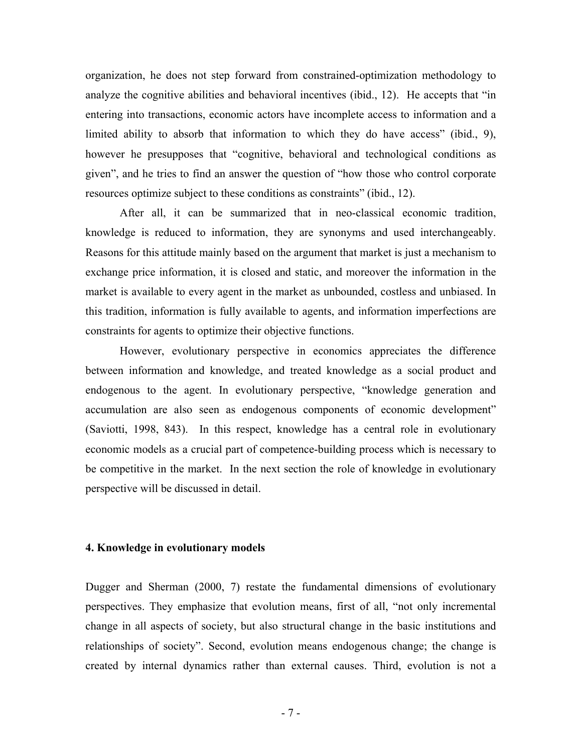organization, he does not step forward from constrained-optimization methodology to analyze the cognitive abilities and behavioral incentives (ibid., 12). He accepts that "in entering into transactions, economic actors have incomplete access to information and a limited ability to absorb that information to which they do have access" (ibid., 9), however he presupposes that "cognitive, behavioral and technological conditions as given", and he tries to find an answer the question of "how those who control corporate resources optimize subject to these conditions as constraints" (ibid., 12).

After all, it can be summarized that in neo-classical economic tradition, knowledge is reduced to information, they are synonyms and used interchangeably. Reasons for this attitude mainly based on the argument that market is just a mechanism to exchange price information, it is closed and static, and moreover the information in the market is available to every agent in the market as unbounded, costless and unbiased. In this tradition, information is fully available to agents, and information imperfections are constraints for agents to optimize their objective functions.

However, evolutionary perspective in economics appreciates the difference between information and knowledge, and treated knowledge as a social product and endogenous to the agent. In evolutionary perspective, "knowledge generation and accumulation are also seen as endogenous components of economic development" (Saviotti, 1998, 843). In this respect, knowledge has a central role in evolutionary economic models as a crucial part of competence-building process which is necessary to be competitive in the market. In the next section the role of knowledge in evolutionary perspective will be discussed in detail.

#### **4. Knowledge in evolutionary models**

Dugger and Sherman (2000, 7) restate the fundamental dimensions of evolutionary perspectives. They emphasize that evolution means, first of all, "not only incremental change in all aspects of society, but also structural change in the basic institutions and relationships of society". Second, evolution means endogenous change; the change is created by internal dynamics rather than external causes. Third, evolution is not a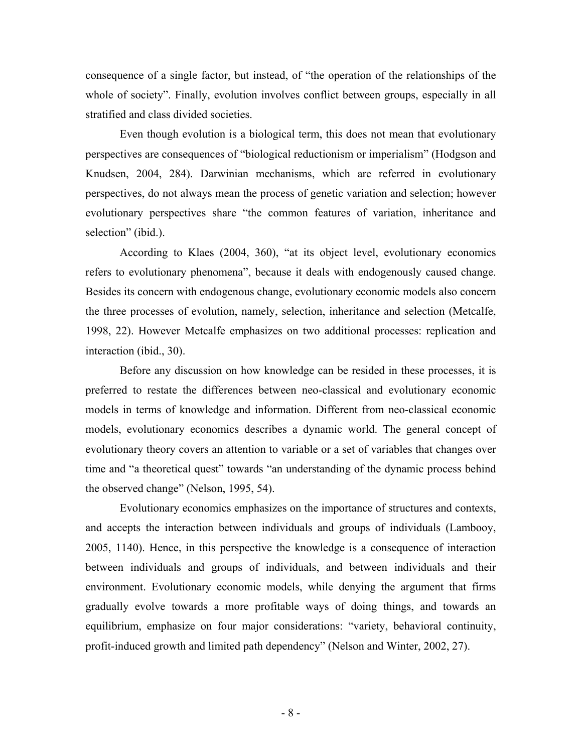consequence of a single factor, but instead, of "the operation of the relationships of the whole of society". Finally, evolution involves conflict between groups, especially in all stratified and class divided societies.

Even though evolution is a biological term, this does not mean that evolutionary perspectives are consequences of "biological reductionism or imperialism" (Hodgson and Knudsen, 2004, 284). Darwinian mechanisms, which are referred in evolutionary perspectives, do not always mean the process of genetic variation and selection; however evolutionary perspectives share "the common features of variation, inheritance and selection" (ibid.).

According to Klaes (2004, 360), "at its object level, evolutionary economics refers to evolutionary phenomena", because it deals with endogenously caused change. Besides its concern with endogenous change, evolutionary economic models also concern the three processes of evolution, namely, selection, inheritance and selection (Metcalfe, 1998, 22). However Metcalfe emphasizes on two additional processes: replication and interaction (ibid., 30).

Before any discussion on how knowledge can be resided in these processes, it is preferred to restate the differences between neo-classical and evolutionary economic models in terms of knowledge and information. Different from neo-classical economic models, evolutionary economics describes a dynamic world. The general concept of evolutionary theory covers an attention to variable or a set of variables that changes over time and "a theoretical quest" towards "an understanding of the dynamic process behind the observed change" (Nelson, 1995, 54).

Evolutionary economics emphasizes on the importance of structures and contexts, and accepts the interaction between individuals and groups of individuals (Lambooy, 2005, 1140). Hence, in this perspective the knowledge is a consequence of interaction between individuals and groups of individuals, and between individuals and their environment. Evolutionary economic models, while denying the argument that firms gradually evolve towards a more profitable ways of doing things, and towards an equilibrium, emphasize on four major considerations: "variety, behavioral continuity, profit-induced growth and limited path dependency" (Nelson and Winter, 2002, 27).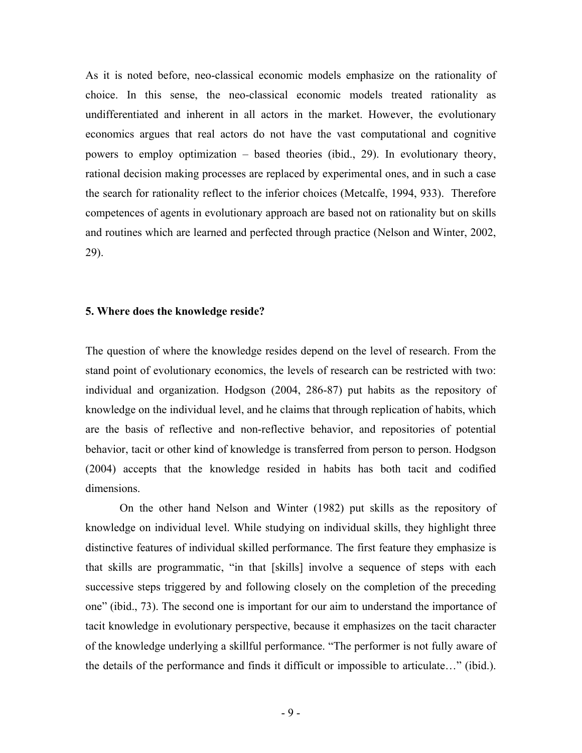As it is noted before, neo-classical economic models emphasize on the rationality of choice. In this sense, the neo-classical economic models treated rationality as undifferentiated and inherent in all actors in the market. However, the evolutionary economics argues that real actors do not have the vast computational and cognitive powers to employ optimization – based theories (ibid., 29). In evolutionary theory, rational decision making processes are replaced by experimental ones, and in such a case the search for rationality reflect to the inferior choices (Metcalfe, 1994, 933). Therefore competences of agents in evolutionary approach are based not on rationality but on skills and routines which are learned and perfected through practice (Nelson and Winter, 2002, 29).

## **5. Where does the knowledge reside?**

The question of where the knowledge resides depend on the level of research. From the stand point of evolutionary economics, the levels of research can be restricted with two: individual and organization. Hodgson (2004, 286-87) put habits as the repository of knowledge on the individual level, and he claims that through replication of habits, which are the basis of reflective and non-reflective behavior, and repositories of potential behavior, tacit or other kind of knowledge is transferred from person to person. Hodgson (2004) accepts that the knowledge resided in habits has both tacit and codified dimensions.

On the other hand Nelson and Winter (1982) put skills as the repository of knowledge on individual level. While studying on individual skills, they highlight three distinctive features of individual skilled performance. The first feature they emphasize is that skills are programmatic, "in that [skills] involve a sequence of steps with each successive steps triggered by and following closely on the completion of the preceding one" (ibid., 73). The second one is important for our aim to understand the importance of tacit knowledge in evolutionary perspective, because it emphasizes on the tacit character of the knowledge underlying a skillful performance. "The performer is not fully aware of the details of the performance and finds it difficult or impossible to articulate…" (ibid.).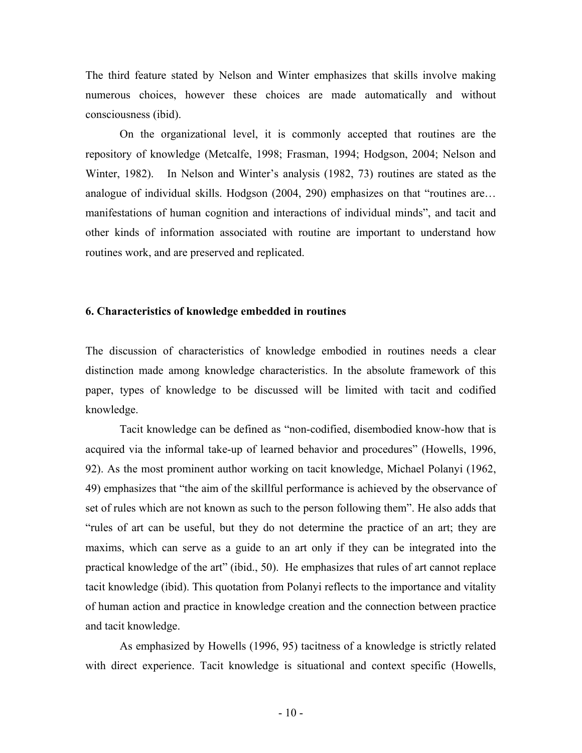The third feature stated by Nelson and Winter emphasizes that skills involve making numerous choices, however these choices are made automatically and without consciousness (ibid).

On the organizational level, it is commonly accepted that routines are the repository of knowledge (Metcalfe, 1998; Frasman, 1994; Hodgson, 2004; Nelson and Winter, 1982). In Nelson and Winter's analysis (1982, 73) routines are stated as the analogue of individual skills. Hodgson (2004, 290) emphasizes on that "routines are… manifestations of human cognition and interactions of individual minds", and tacit and other kinds of information associated with routine are important to understand how routines work, and are preserved and replicated.

## **6. Characteristics of knowledge embedded in routines**

The discussion of characteristics of knowledge embodied in routines needs a clear distinction made among knowledge characteristics. In the absolute framework of this paper, types of knowledge to be discussed will be limited with tacit and codified knowledge.

Tacit knowledge can be defined as "non-codified, disembodied know-how that is acquired via the informal take-up of learned behavior and procedures" (Howells, 1996, 92). As the most prominent author working on tacit knowledge, Michael Polanyi (1962, 49) emphasizes that "the aim of the skillful performance is achieved by the observance of set of rules which are not known as such to the person following them". He also adds that "rules of art can be useful, but they do not determine the practice of an art; they are maxims, which can serve as a guide to an art only if they can be integrated into the practical knowledge of the art" (ibid., 50). He emphasizes that rules of art cannot replace tacit knowledge (ibid). This quotation from Polanyi reflects to the importance and vitality of human action and practice in knowledge creation and the connection between practice and tacit knowledge.

As emphasized by Howells (1996, 95) tacitness of a knowledge is strictly related with direct experience. Tacit knowledge is situational and context specific (Howells,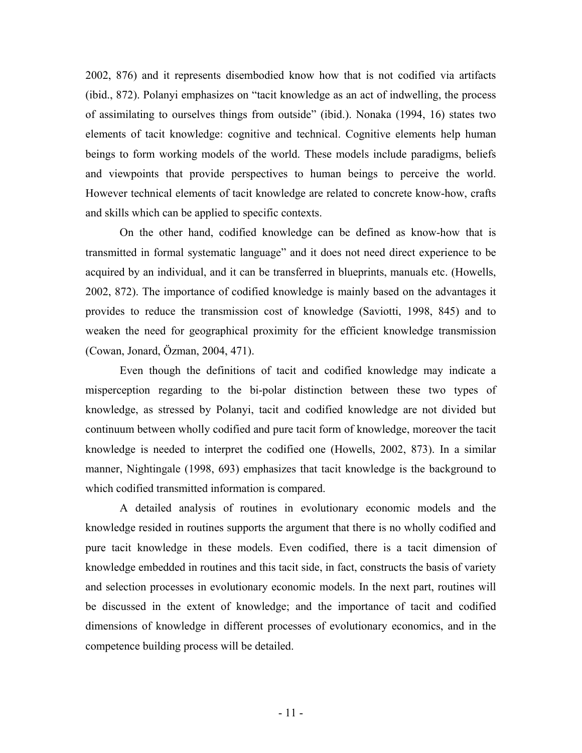2002, 876) and it represents disembodied know how that is not codified via artifacts (ibid., 872). Polanyi emphasizes on "tacit knowledge as an act of indwelling, the process of assimilating to ourselves things from outside" (ibid.). Nonaka (1994, 16) states two elements of tacit knowledge: cognitive and technical. Cognitive elements help human beings to form working models of the world. These models include paradigms, beliefs and viewpoints that provide perspectives to human beings to perceive the world. However technical elements of tacit knowledge are related to concrete know-how, crafts and skills which can be applied to specific contexts.

On the other hand, codified knowledge can be defined as know-how that is transmitted in formal systematic language" and it does not need direct experience to be acquired by an individual, and it can be transferred in blueprints, manuals etc. (Howells, 2002, 872). The importance of codified knowledge is mainly based on the advantages it provides to reduce the transmission cost of knowledge (Saviotti, 1998, 845) and to weaken the need for geographical proximity for the efficient knowledge transmission (Cowan, Jonard, Özman, 2004, 471).

Even though the definitions of tacit and codified knowledge may indicate a misperception regarding to the bi-polar distinction between these two types of knowledge, as stressed by Polanyi, tacit and codified knowledge are not divided but continuum between wholly codified and pure tacit form of knowledge, moreover the tacit knowledge is needed to interpret the codified one (Howells, 2002, 873). In a similar manner, Nightingale (1998, 693) emphasizes that tacit knowledge is the background to which codified transmitted information is compared.

A detailed analysis of routines in evolutionary economic models and the knowledge resided in routines supports the argument that there is no wholly codified and pure tacit knowledge in these models. Even codified, there is a tacit dimension of knowledge embedded in routines and this tacit side, in fact, constructs the basis of variety and selection processes in evolutionary economic models. In the next part, routines will be discussed in the extent of knowledge; and the importance of tacit and codified dimensions of knowledge in different processes of evolutionary economics, and in the competence building process will be detailed.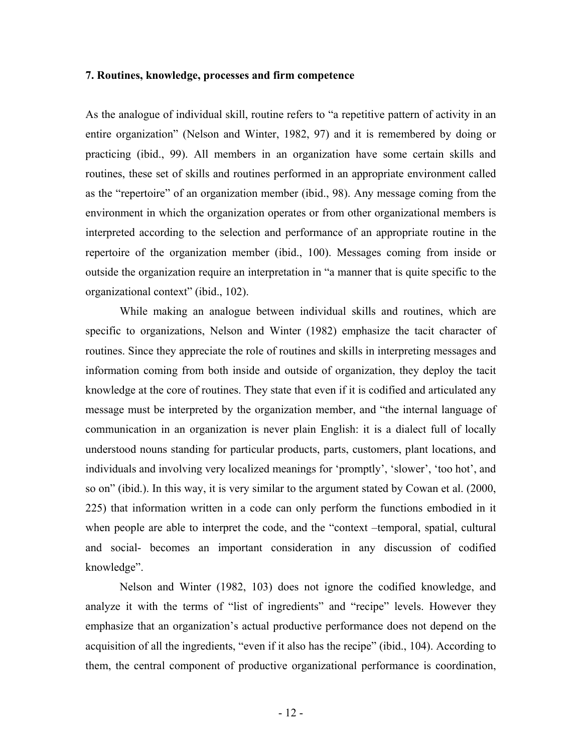## **7. Routines, knowledge, processes and firm competence**

As the analogue of individual skill, routine refers to "a repetitive pattern of activity in an entire organization" (Nelson and Winter, 1982, 97) and it is remembered by doing or practicing (ibid., 99). All members in an organization have some certain skills and routines, these set of skills and routines performed in an appropriate environment called as the "repertoire" of an organization member (ibid., 98). Any message coming from the environment in which the organization operates or from other organizational members is interpreted according to the selection and performance of an appropriate routine in the repertoire of the organization member (ibid., 100). Messages coming from inside or outside the organization require an interpretation in "a manner that is quite specific to the organizational context" (ibid., 102).

While making an analogue between individual skills and routines, which are specific to organizations, Nelson and Winter (1982) emphasize the tacit character of routines. Since they appreciate the role of routines and skills in interpreting messages and information coming from both inside and outside of organization, they deploy the tacit knowledge at the core of routines. They state that even if it is codified and articulated any message must be interpreted by the organization member, and "the internal language of communication in an organization is never plain English: it is a dialect full of locally understood nouns standing for particular products, parts, customers, plant locations, and individuals and involving very localized meanings for 'promptly', 'slower', 'too hot', and so on" (ibid.). In this way, it is very similar to the argument stated by Cowan et al. (2000, 225) that information written in a code can only perform the functions embodied in it when people are able to interpret the code, and the "context –temporal, spatial, cultural and social- becomes an important consideration in any discussion of codified knowledge".

Nelson and Winter (1982, 103) does not ignore the codified knowledge, and analyze it with the terms of "list of ingredients" and "recipe" levels. However they emphasize that an organization's actual productive performance does not depend on the acquisition of all the ingredients, "even if it also has the recipe" (ibid., 104). According to them, the central component of productive organizational performance is coordination,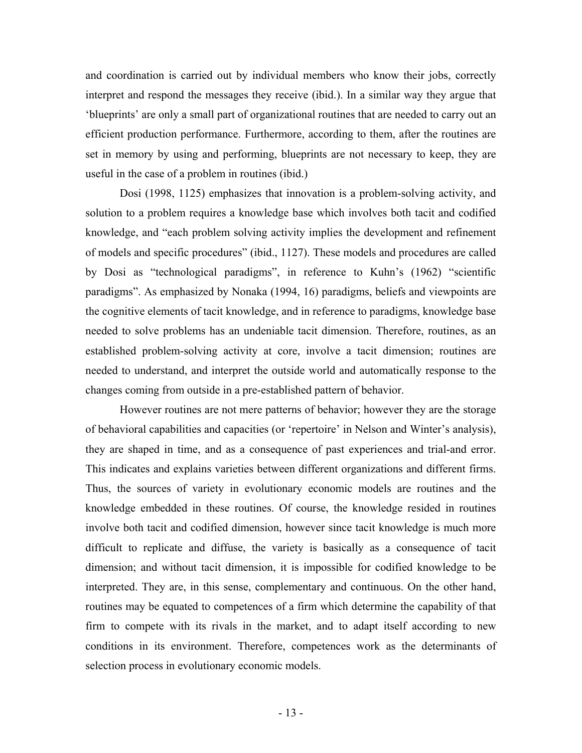and coordination is carried out by individual members who know their jobs, correctly interpret and respond the messages they receive (ibid.). In a similar way they argue that 'blueprints' are only a small part of organizational routines that are needed to carry out an efficient production performance. Furthermore, according to them, after the routines are set in memory by using and performing, blueprints are not necessary to keep, they are useful in the case of a problem in routines (ibid.)

Dosi (1998, 1125) emphasizes that innovation is a problem-solving activity, and solution to a problem requires a knowledge base which involves both tacit and codified knowledge, and "each problem solving activity implies the development and refinement of models and specific procedures" (ibid., 1127). These models and procedures are called by Dosi as "technological paradigms", in reference to Kuhn's (1962) "scientific paradigms". As emphasized by Nonaka (1994, 16) paradigms, beliefs and viewpoints are the cognitive elements of tacit knowledge, and in reference to paradigms, knowledge base needed to solve problems has an undeniable tacit dimension. Therefore, routines, as an established problem-solving activity at core, involve a tacit dimension; routines are needed to understand, and interpret the outside world and automatically response to the changes coming from outside in a pre-established pattern of behavior.

However routines are not mere patterns of behavior; however they are the storage of behavioral capabilities and capacities (or 'repertoire' in Nelson and Winter's analysis), they are shaped in time, and as a consequence of past experiences and trial-and error. This indicates and explains varieties between different organizations and different firms. Thus, the sources of variety in evolutionary economic models are routines and the knowledge embedded in these routines. Of course, the knowledge resided in routines involve both tacit and codified dimension, however since tacit knowledge is much more difficult to replicate and diffuse, the variety is basically as a consequence of tacit dimension; and without tacit dimension, it is impossible for codified knowledge to be interpreted. They are, in this sense, complementary and continuous. On the other hand, routines may be equated to competences of a firm which determine the capability of that firm to compete with its rivals in the market, and to adapt itself according to new conditions in its environment. Therefore, competences work as the determinants of selection process in evolutionary economic models.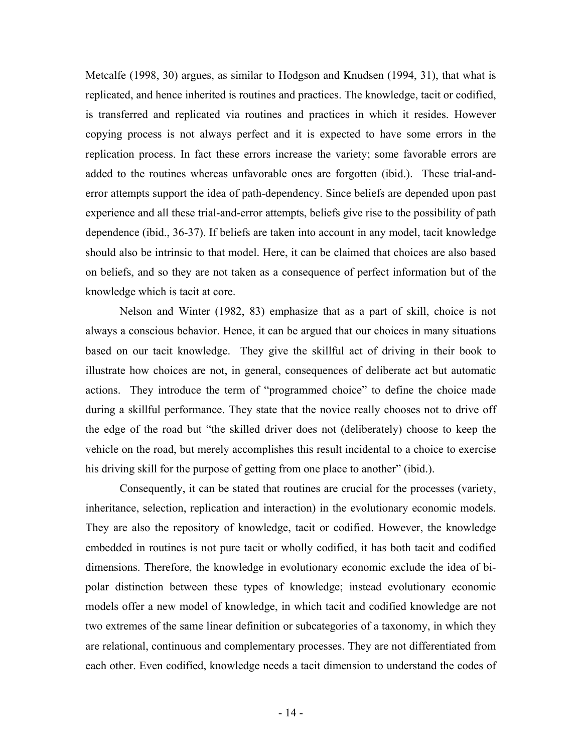Metcalfe (1998, 30) argues, as similar to Hodgson and Knudsen (1994, 31), that what is replicated, and hence inherited is routines and practices. The knowledge, tacit or codified, is transferred and replicated via routines and practices in which it resides. However copying process is not always perfect and it is expected to have some errors in the replication process. In fact these errors increase the variety; some favorable errors are added to the routines whereas unfavorable ones are forgotten (ibid.). These trial-anderror attempts support the idea of path-dependency. Since beliefs are depended upon past experience and all these trial-and-error attempts, beliefs give rise to the possibility of path dependence (ibid., 36-37). If beliefs are taken into account in any model, tacit knowledge should also be intrinsic to that model. Here, it can be claimed that choices are also based on beliefs, and so they are not taken as a consequence of perfect information but of the knowledge which is tacit at core.

Nelson and Winter (1982, 83) emphasize that as a part of skill, choice is not always a conscious behavior. Hence, it can be argued that our choices in many situations based on our tacit knowledge. They give the skillful act of driving in their book to illustrate how choices are not, in general, consequences of deliberate act but automatic actions. They introduce the term of "programmed choice" to define the choice made during a skillful performance. They state that the novice really chooses not to drive off the edge of the road but "the skilled driver does not (deliberately) choose to keep the vehicle on the road, but merely accomplishes this result incidental to a choice to exercise his driving skill for the purpose of getting from one place to another" (ibid.).

Consequently, it can be stated that routines are crucial for the processes (variety, inheritance, selection, replication and interaction) in the evolutionary economic models. They are also the repository of knowledge, tacit or codified. However, the knowledge embedded in routines is not pure tacit or wholly codified, it has both tacit and codified dimensions. Therefore, the knowledge in evolutionary economic exclude the idea of bipolar distinction between these types of knowledge; instead evolutionary economic models offer a new model of knowledge, in which tacit and codified knowledge are not two extremes of the same linear definition or subcategories of a taxonomy, in which they are relational, continuous and complementary processes. They are not differentiated from each other. Even codified, knowledge needs a tacit dimension to understand the codes of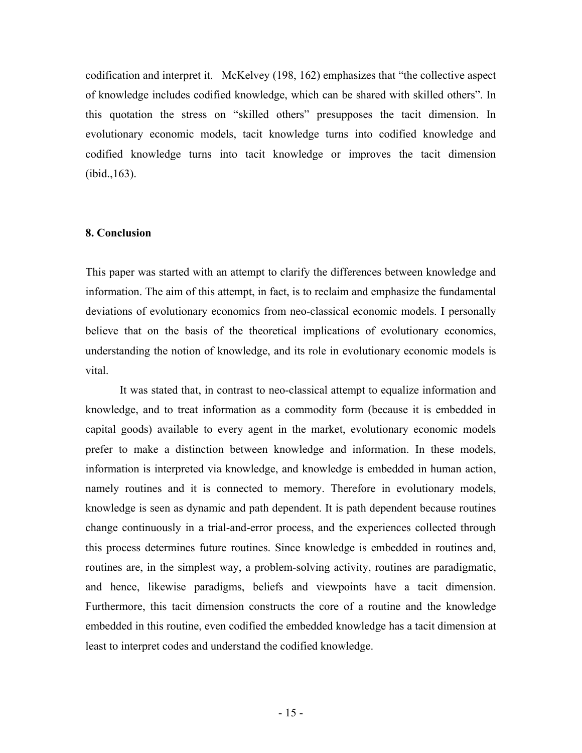codification and interpret it. McKelvey (198, 162) emphasizes that "the collective aspect of knowledge includes codified knowledge, which can be shared with skilled others". In this quotation the stress on "skilled others" presupposes the tacit dimension. In evolutionary economic models, tacit knowledge turns into codified knowledge and codified knowledge turns into tacit knowledge or improves the tacit dimension (ibid.,163).

# **8. Conclusion**

This paper was started with an attempt to clarify the differences between knowledge and information. The aim of this attempt, in fact, is to reclaim and emphasize the fundamental deviations of evolutionary economics from neo-classical economic models. I personally believe that on the basis of the theoretical implications of evolutionary economics, understanding the notion of knowledge, and its role in evolutionary economic models is vital.

It was stated that, in contrast to neo-classical attempt to equalize information and knowledge, and to treat information as a commodity form (because it is embedded in capital goods) available to every agent in the market, evolutionary economic models prefer to make a distinction between knowledge and information. In these models, information is interpreted via knowledge, and knowledge is embedded in human action, namely routines and it is connected to memory. Therefore in evolutionary models, knowledge is seen as dynamic and path dependent. It is path dependent because routines change continuously in a trial-and-error process, and the experiences collected through this process determines future routines. Since knowledge is embedded in routines and, routines are, in the simplest way, a problem-solving activity, routines are paradigmatic, and hence, likewise paradigms, beliefs and viewpoints have a tacit dimension. Furthermore, this tacit dimension constructs the core of a routine and the knowledge embedded in this routine, even codified the embedded knowledge has a tacit dimension at least to interpret codes and understand the codified knowledge.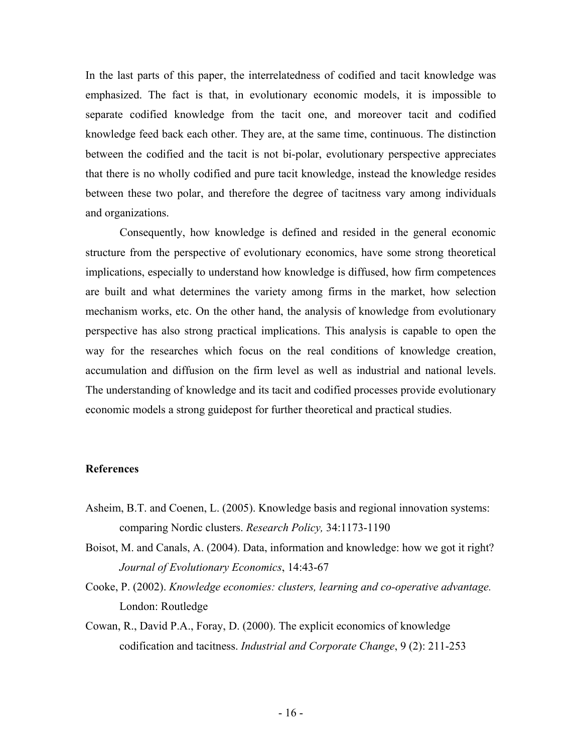In the last parts of this paper, the interrelatedness of codified and tacit knowledge was emphasized. The fact is that, in evolutionary economic models, it is impossible to separate codified knowledge from the tacit one, and moreover tacit and codified knowledge feed back each other. They are, at the same time, continuous. The distinction between the codified and the tacit is not bi-polar, evolutionary perspective appreciates that there is no wholly codified and pure tacit knowledge, instead the knowledge resides between these two polar, and therefore the degree of tacitness vary among individuals and organizations.

Consequently, how knowledge is defined and resided in the general economic structure from the perspective of evolutionary economics, have some strong theoretical implications, especially to understand how knowledge is diffused, how firm competences are built and what determines the variety among firms in the market, how selection mechanism works, etc. On the other hand, the analysis of knowledge from evolutionary perspective has also strong practical implications. This analysis is capable to open the way for the researches which focus on the real conditions of knowledge creation, accumulation and diffusion on the firm level as well as industrial and national levels. The understanding of knowledge and its tacit and codified processes provide evolutionary economic models a strong guidepost for further theoretical and practical studies.

#### **References**

- Asheim, B.T. and Coenen, L. (2005). Knowledge basis and regional innovation systems: comparing Nordic clusters. *Research Policy,* 34:1173-1190
- Boisot, M. and Canals, A. (2004). Data, information and knowledge: how we got it right? *Journal of Evolutionary Economics*, 14:43-67
- Cooke, P. (2002). *Knowledge economies: clusters, learning and co-operative advantage.*  London: Routledge
- Cowan, R., David P.A., Foray, D. (2000). The explicit economics of knowledge codification and tacitness. *Industrial and Corporate Change*, 9 (2): 211-253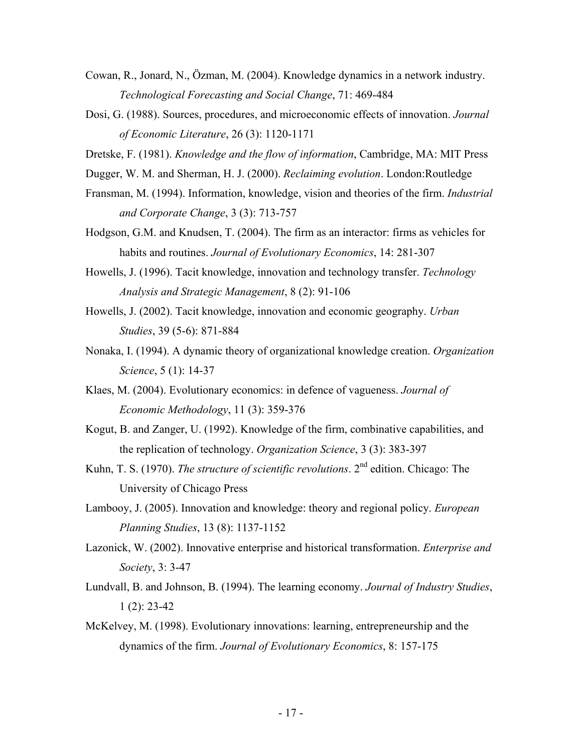- Cowan, R., Jonard, N., Özman, M. (2004). Knowledge dynamics in a network industry. *Technological Forecasting and Social Change*, 71: 469-484
- Dosi, G. (1988). Sources, procedures, and microeconomic effects of innovation. *Journal of Economic Literature*, 26 (3): 1120-1171
- Dretske, F. (1981). *Knowledge and the flow of information*, Cambridge, MA: MIT Press
- Dugger, W. M. and Sherman, H. J. (2000). *Reclaiming evolution*. London:Routledge
- Fransman, M. (1994). Information, knowledge, vision and theories of the firm. *Industrial and Corporate Change*, 3 (3): 713-757
- Hodgson, G.M. and Knudsen, T. (2004). The firm as an interactor: firms as vehicles for habits and routines. *Journal of Evolutionary Economics*, 14: 281-307
- Howells, J. (1996). Tacit knowledge, innovation and technology transfer. *Technology Analysis and Strategic Management*, 8 (2): 91-106
- Howells, J. (2002). Tacit knowledge, innovation and economic geography. *Urban Studies*, 39 (5-6): 871-884
- Nonaka, I. (1994). A dynamic theory of organizational knowledge creation. *Organization Science*, 5 (1): 14-37
- Klaes, M. (2004). Evolutionary economics: in defence of vagueness. *Journal of Economic Methodology*, 11 (3): 359-376
- Kogut, B. and Zanger, U. (1992). Knowledge of the firm, combinative capabilities, and the replication of technology. *Organization Science*, 3 (3): 383-397
- Kuhn, T. S. (1970). *The structure of scientific revolutions*. 2nd edition. Chicago: The University of Chicago Press
- Lambooy, J. (2005). Innovation and knowledge: theory and regional policy. *European Planning Studies*, 13 (8): 1137-1152
- Lazonick, W. (2002). Innovative enterprise and historical transformation. *Enterprise and Society*, 3: 3-47
- Lundvall, B. and Johnson, B. (1994). The learning economy. *Journal of Industry Studies*,  $1(2)$ : 23-42
- McKelvey, M. (1998). Evolutionary innovations: learning, entrepreneurship and the dynamics of the firm. *Journal of Evolutionary Economics*, 8: 157-175